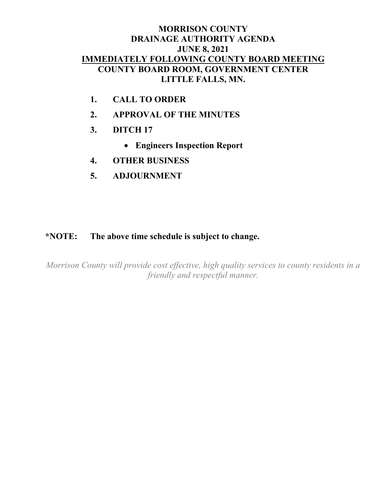## **MORRISON COUNTY DRAINAGE AUTHORITY AGENDA JUNE 8, 2021 IMMEDIATELY FOLLOWING COUNTY BOARD MEETING COUNTY BOARD ROOM, GOVERNMENT CENTER LITTLE FALLS, MN.**

- **1. CALL TO ORDER**
- **2. APPROVAL OF THE MINUTES**
- **3. DITCH 17**
	- **Engineers Inspection Report**
- **4. OTHER BUSINESS**
- **5. ADJOURNMENT**

## **\*NOTE: The above time schedule is subject to change.**

*Morrison County will provide cost effective, high quality services to county residents in a friendly and respectful manner.*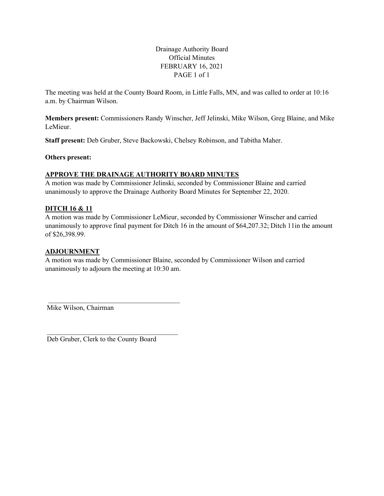Drainage Authority Board Official Minutes FEBRUARY 16, 2021 PAGE 1 of 1

The meeting was held at the County Board Room, in Little Falls, MN, and was called to order at 10:16 a.m. by Chairman Wilson.

**Members present:** Commissioners Randy Winscher, Jeff Jelinski, Mike Wilson, Greg Blaine, and Mike LeMieur.

**Staff present:** Deb Gruber, Steve Backowski, Chelsey Robinson, and Tabitha Maher.

**Others present:**

#### **APPROVE THE DRAINAGE AUTHORITY BOARD MINUTES**

A motion was made by Commissioner Jelinski, seconded by Commissioner Blaine and carried unanimously to approve the Drainage Authority Board Minutes for September 22, 2020.

#### **DITCH 16 & 11**

A motion was made by Commissioner LeMieur, seconded by Commissioner Winscher and carried unanimously to approve final payment for Ditch 16 in the amount of \$64,207.32; Ditch 11in the amount of \$26,398.99.

#### **ADJOURNMENT**

A motion was made by Commissioner Blaine, seconded by Commissioner Wilson and carried unanimously to adjourn the meeting at 10:30 am.

Mike Wilson, Chairman

Deb Gruber, Clerk to the County Board

\_\_\_\_\_\_\_\_\_\_\_\_\_\_\_\_\_\_\_\_\_\_\_\_\_\_\_\_\_\_\_\_\_\_\_\_\_\_

\_\_\_\_\_\_\_\_\_\_\_\_\_\_\_\_\_\_\_\_\_\_\_\_\_\_\_\_\_\_\_\_\_\_\_\_\_\_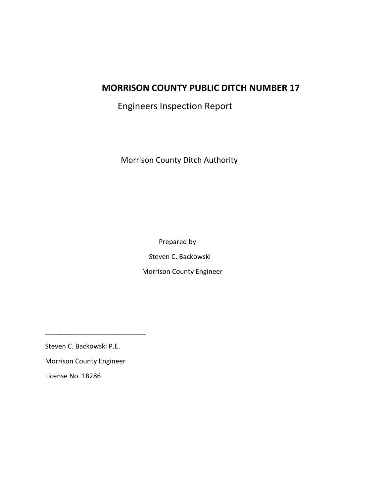# **MORRISON COUNTY PUBLIC DITCH NUMBER 17**

Engineers Inspection Report

Morrison County Ditch Authority

Prepared by

Steven C. Backowski

Morrison County Engineer

Steven C. Backowski P.E.

Morrison County Engineer

\_\_\_\_\_\_\_\_\_\_\_\_\_\_\_\_\_\_\_\_\_\_\_\_\_\_\_

License No. 18286